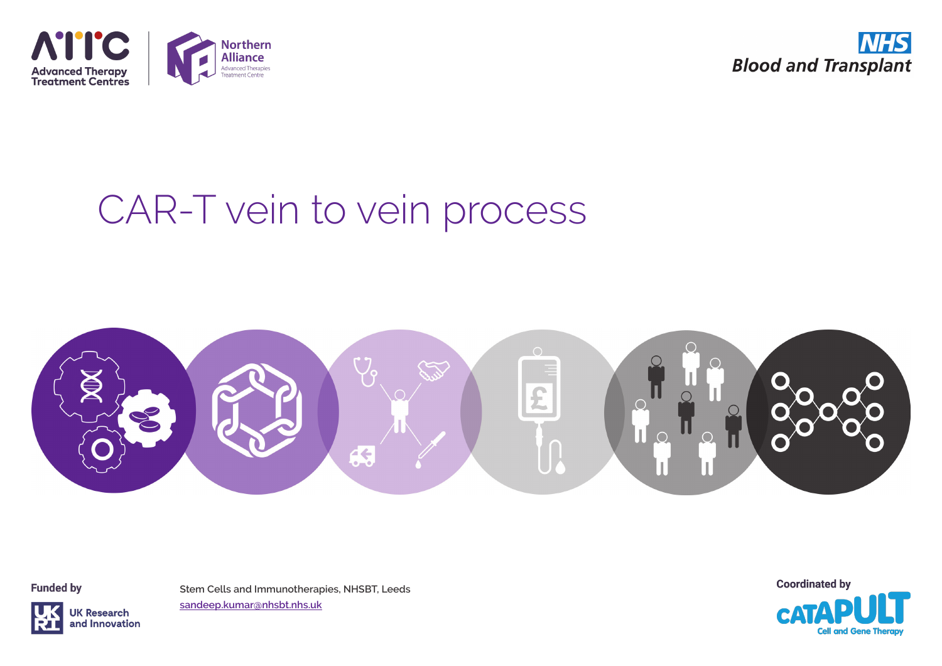



# CAR-T vein to vein process



**Funded by** 



**Stem Cells and Immunotherapies, NHSBT, Leeds sandeep.kumar@nhsbt.nhs.uk**

**Coordinated by** 

**Cell and Gene Therap**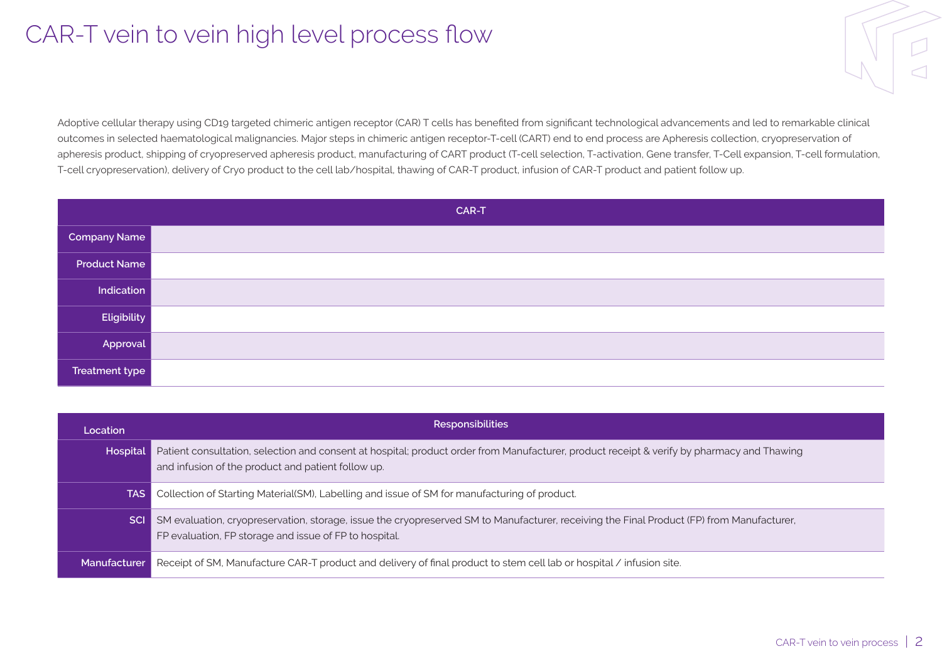## CAR-T vein to vein high level process flow

Adoptive cellular therapy using CD19 targeted chimeric antigen receptor (CAR) T cells has benefited from significant technological advancements and led to remarkable clinical outcomes in selected haematological malignancies. Major steps in chimeric antigen receptor-T-cell (CART) end to end process are Apheresis collection, cryopreservation of apheresis product, shipping of cryopreserved apheresis product, manufacturing of CART product (T-cell selection, T-activation, Gene transfer, T-Cell expansion, T-cell formulation, T-cell cryopreservation), delivery of Cryo product to the cell lab/hospital, thawing of CAR-T product, infusion of CAR-T product and patient follow up.

|                       | CAR-T |
|-----------------------|-------|
| Company Name          |       |
| <b>Product Name</b>   |       |
| Indication            |       |
| Eligibility           |       |
| Approval              |       |
| <b>Treatment type</b> |       |

| Location        | <b>Responsibilities</b>                                                                                                                                                                             |
|-----------------|-----------------------------------------------------------------------------------------------------------------------------------------------------------------------------------------------------|
| <b>Hospital</b> | Patient consultation, selection and consent at hospital; product order from Manufacturer, product receipt & verify by pharmacy and Thawing<br>and infusion of the product and patient follow up.    |
| TAS.            | Collection of Starting Material (SM), Labelling and issue of SM for manufacturing of product.                                                                                                       |
| <b>SCI</b>      | SM evaluation, cryopreservation, storage, issue the cryopreserved SM to Manufacturer, receiving the Final Product (FP) from Manufacturer,<br>FP evaluation, FP storage and issue of FP to hospital. |
| Manufacturer    | Receipt of SM, Manufacture CAR-T product and delivery of final product to stem cell lab or hospital / infusion site.                                                                                |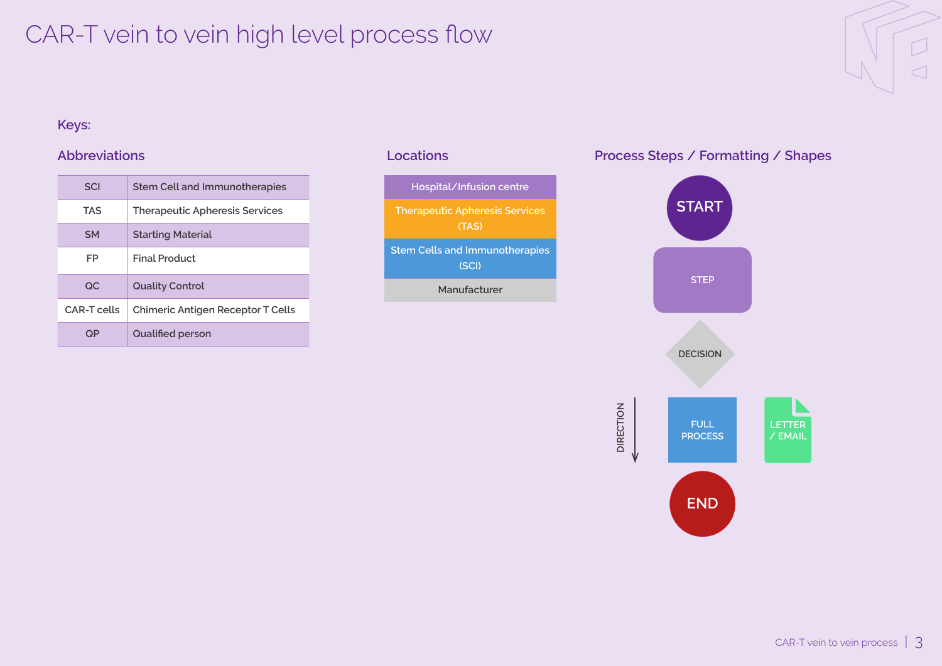## CAR-T vein to vein high level process flow

# $\triangleleft$

## **Keys:**

| <b>SCI</b>  | <b>Stem Cell and Immunotherapies</b>  |
|-------------|---------------------------------------|
| <b>TAS</b>  | <b>Therapeutic Apheresis Services</b> |
| <b>SM</b>   | <b>Starting Material</b>              |
| FP          | <b>Final Product</b>                  |
| OC.         | <b>Quality Control</b>                |
| CAR-T cells | Chimeric Antigen Receptor T Cells     |
| OP.         | <b>Qualified person</b>               |



### **Abbreviations Locations Process Steps / Formatting / Shapes**